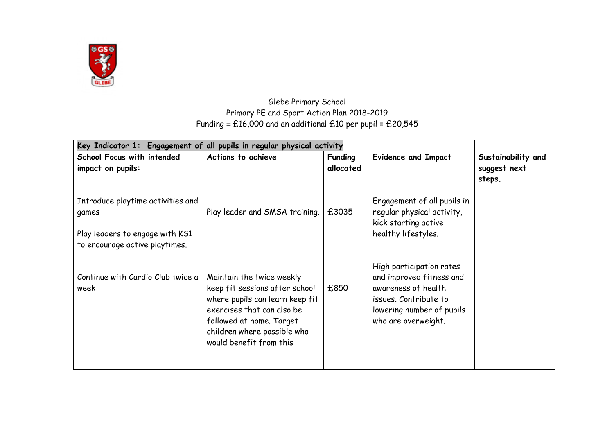

## Glebe Primary School Primary PE and Sport Action Plan 2018-2019 Funding =  $£16,000$  and an additional £10 per pupil = £20,545

| Key Indicator 1: Engagement of all pupils in regular physical activity                                          |                                                                                                                                                                                                                    |                             |                                                                                                                                                          |                                              |
|-----------------------------------------------------------------------------------------------------------------|--------------------------------------------------------------------------------------------------------------------------------------------------------------------------------------------------------------------|-----------------------------|----------------------------------------------------------------------------------------------------------------------------------------------------------|----------------------------------------------|
| <b>School Focus with intended</b><br>impact on pupils:                                                          | Actions to achieve                                                                                                                                                                                                 | <b>Funding</b><br>allocated | <b>Evidence and Impact</b>                                                                                                                               | Sustainability and<br>suggest next<br>steps. |
| Introduce playtime activities and<br>games<br>Play leaders to engage with KS1<br>to encourage active playtimes. | Play leader and SMSA training.                                                                                                                                                                                     | £3035                       | Engagement of all pupils in<br>regular physical activity,<br>kick starting active<br>healthy lifestyles.                                                 |                                              |
| Continue with Cardio Club twice a<br>week                                                                       | Maintain the twice weekly<br>keep fit sessions after school<br>where pupils can learn keep fit<br>exercises that can also be<br>followed at home. Target<br>children where possible who<br>would benefit from this | £850                        | High participation rates<br>and improved fitness and<br>awareness of health<br>issues. Contribute to<br>lowering number of pupils<br>who are overweight. |                                              |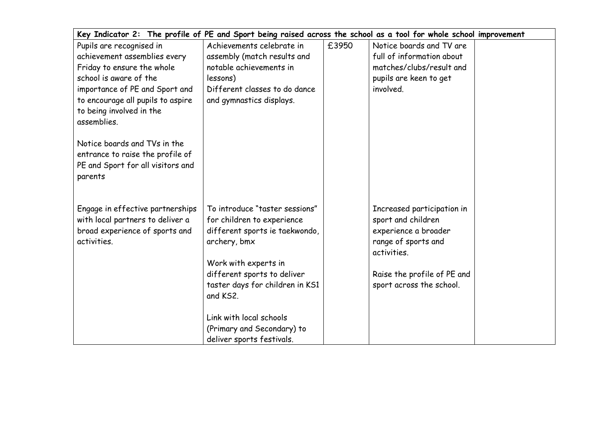| Key Indicator 2: The profile of PE and Sport being raised across the school as a tool for whole school improvement |                                                           |       |                                    |  |
|--------------------------------------------------------------------------------------------------------------------|-----------------------------------------------------------|-------|------------------------------------|--|
| Pupils are recognised in                                                                                           | Achievements celebrate in                                 | £3950 | Notice boards and TV are           |  |
| achievement assemblies every                                                                                       | assembly (match results and                               |       | full of information about          |  |
| Friday to ensure the whole                                                                                         | notable achievements in                                   |       | matches/clubs/result and           |  |
| school is aware of the                                                                                             | lessons)                                                  |       | pupils are keen to get             |  |
| importance of PE and Sport and<br>to encourage all pupils to aspire<br>to being involved in the<br>assemblies.     | Different classes to do dance<br>and gymnastics displays. |       | involved.                          |  |
| Notice boards and TVs in the<br>entrance to raise the profile of<br>PE and Sport for all visitors and<br>parents   |                                                           |       |                                    |  |
| Engage in effective partnerships                                                                                   | To introduce "taster sessions"                            |       | Increased participation in         |  |
| with local partners to deliver a                                                                                   | for children to experience                                |       | sport and children                 |  |
| broad experience of sports and                                                                                     | different sports ie taekwondo,                            |       | experience a broader               |  |
| activities.                                                                                                        | archery, bmx                                              |       | range of sports and<br>activities. |  |
|                                                                                                                    | Work with experts in                                      |       |                                    |  |
|                                                                                                                    | different sports to deliver                               |       | Raise the profile of PE and        |  |
|                                                                                                                    | taster days for children in KS1<br>and KS2.               |       | sport across the school.           |  |
|                                                                                                                    | Link with local schools                                   |       |                                    |  |
|                                                                                                                    | (Primary and Secondary) to                                |       |                                    |  |
|                                                                                                                    | deliver sports festivals.                                 |       |                                    |  |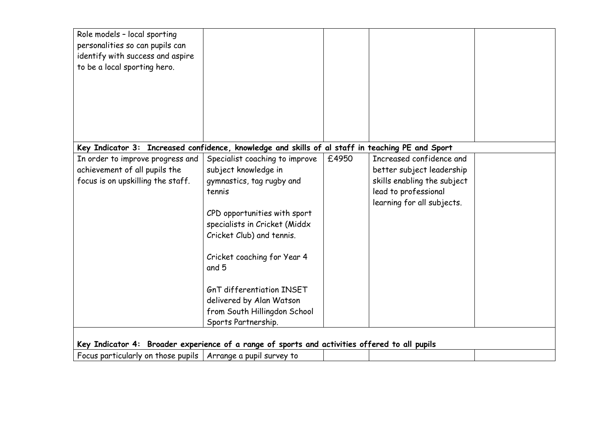| Role models - local sporting                                                                     |                                  |       |                             |  |
|--------------------------------------------------------------------------------------------------|----------------------------------|-------|-----------------------------|--|
| personalities so can pupils can                                                                  |                                  |       |                             |  |
| identify with success and aspire                                                                 |                                  |       |                             |  |
| to be a local sporting hero.                                                                     |                                  |       |                             |  |
|                                                                                                  |                                  |       |                             |  |
|                                                                                                  |                                  |       |                             |  |
|                                                                                                  |                                  |       |                             |  |
|                                                                                                  |                                  |       |                             |  |
|                                                                                                  |                                  |       |                             |  |
|                                                                                                  |                                  |       |                             |  |
| Key Indicator 3: Increased confidence, knowledge and skills of al staff in teaching PE and Sport |                                  |       |                             |  |
| In order to improve progress and                                                                 | Specialist coaching to improve   | £4950 | Increased confidence and    |  |
| achievement of all pupils the                                                                    | subject knowledge in             |       | better subject leadership   |  |
| focus is on upskilling the staff.                                                                | gymnastics, tag rugby and        |       | skills enabling the subject |  |
|                                                                                                  | tennis                           |       | lead to professional        |  |
|                                                                                                  |                                  |       | learning for all subjects.  |  |
|                                                                                                  | CPD opportunities with sport     |       |                             |  |
|                                                                                                  | specialists in Cricket (Middx    |       |                             |  |
|                                                                                                  | Cricket Club) and tennis.        |       |                             |  |
|                                                                                                  |                                  |       |                             |  |
|                                                                                                  | Cricket coaching for Year 4      |       |                             |  |
|                                                                                                  | and 5                            |       |                             |  |
|                                                                                                  |                                  |       |                             |  |
|                                                                                                  | <b>GnT differentiation INSET</b> |       |                             |  |
|                                                                                                  | delivered by Alan Watson         |       |                             |  |
|                                                                                                  | from South Hillingdon School     |       |                             |  |
|                                                                                                  | Sports Partnership.              |       |                             |  |
|                                                                                                  |                                  |       |                             |  |
| Key Indicator 4: Broader experience of a range of sports and activities offered to all pupils    |                                  |       |                             |  |
| Focus particularly on those pupils   Arrange a pupil survey to                                   |                                  |       |                             |  |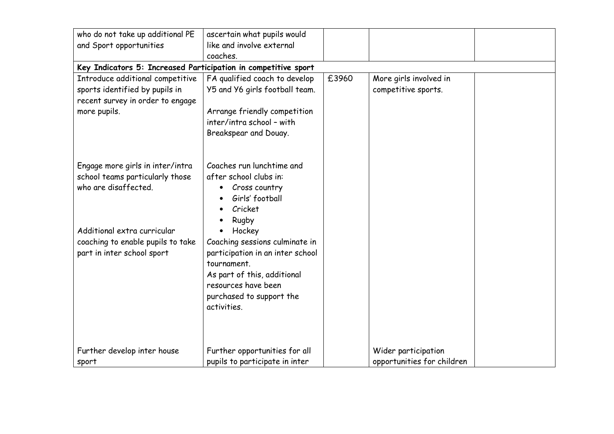| who do not take up additional PE                                                                                       | ascertain what pupils would                                                                                                                                                                  |       |                                                   |  |
|------------------------------------------------------------------------------------------------------------------------|----------------------------------------------------------------------------------------------------------------------------------------------------------------------------------------------|-------|---------------------------------------------------|--|
| and Sport opportunities                                                                                                | like and involve external                                                                                                                                                                    |       |                                                   |  |
|                                                                                                                        | coaches.                                                                                                                                                                                     |       |                                                   |  |
| Key Indicators 5: Increased Participation in competitive sport                                                         |                                                                                                                                                                                              |       |                                                   |  |
| Introduce additional competitive<br>sports identified by pupils in<br>recent survey in order to engage<br>more pupils. | FA qualified coach to develop<br>Y5 and Y6 girls football team.<br>Arrange friendly competition<br>inter/intra school - with<br>Breakspear and Douay.                                        | £3960 | More girls involved in<br>competitive sports.     |  |
| Engage more girls in inter/intra<br>school teams particularly those<br>who are disaffected.                            | Coaches run lunchtime and<br>after school clubs in:<br>Cross country<br>Girls' football<br>Cricket<br>Rugby                                                                                  |       |                                                   |  |
| Additional extra curricular<br>coaching to enable pupils to take<br>part in inter school sport                         | Hockey<br>Coaching sessions culminate in<br>participation in an inter school<br>tournament.<br>As part of this, additional<br>resources have been<br>purchased to support the<br>activities. |       |                                                   |  |
| Further develop inter house<br>sport                                                                                   | Further opportunities for all<br>pupils to participate in inter                                                                                                                              |       | Wider participation<br>opportunities for children |  |